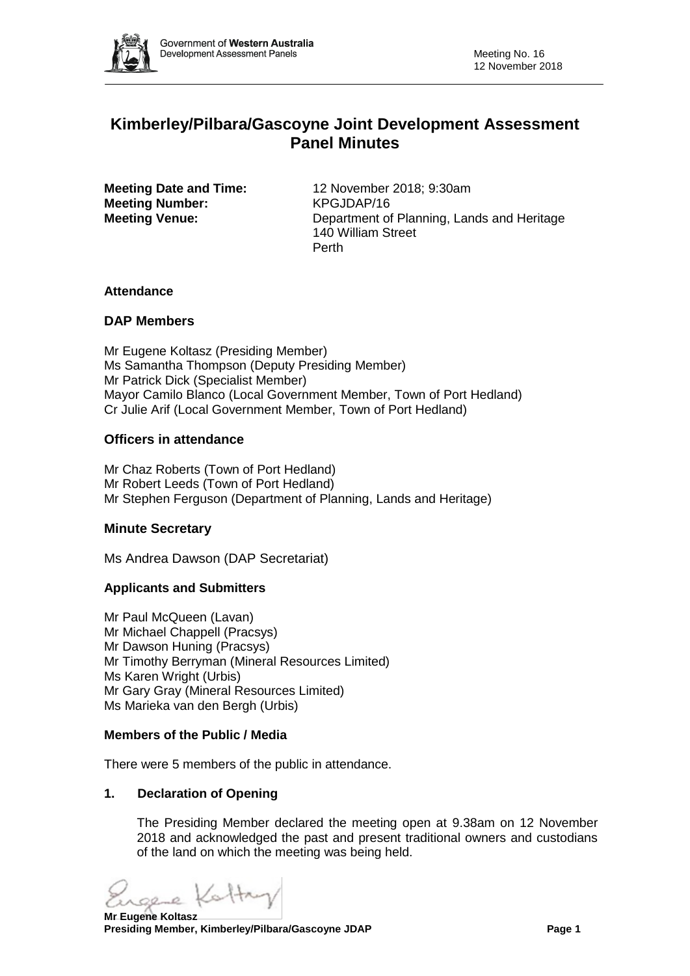

# **Kimberley/Pilbara/Gascoyne Joint Development Assessment Panel Minutes**

**Meeting Number:** KPGJDAP/16

**Meeting Date and Time:** 12 November 2018; 9:30am **Meeting Venue:** Department of Planning, Lands and Heritage 140 William Street Perth

# **Attendance**

# **DAP Members**

Mr Eugene Koltasz (Presiding Member) Ms Samantha Thompson (Deputy Presiding Member) Mr Patrick Dick (Specialist Member) Mayor Camilo Blanco (Local Government Member, Town of Port Hedland) Cr Julie Arif (Local Government Member, Town of Port Hedland)

# **Officers in attendance**

Mr Chaz Roberts (Town of Port Hedland) Mr Robert Leeds (Town of Port Hedland) Mr Stephen Ferguson (Department of Planning, Lands and Heritage)

# **Minute Secretary**

Ms Andrea Dawson (DAP Secretariat)

# **Applicants and Submitters**

Mr Paul McQueen (Lavan) Mr Michael Chappell (Pracsys) Mr Dawson Huning (Pracsys) Mr Timothy Berryman (Mineral Resources Limited) Ms Karen Wright (Urbis) Mr Gary Gray (Mineral Resources Limited) Ms Marieka van den Bergh (Urbis)

#### **Members of the Public / Media**

There were 5 members of the public in attendance.

# **1. Declaration of Opening**

The Presiding Member declared the meeting open at 9.38am on 12 November 2018 and acknowledged the past and present traditional owners and custodians of the land on which the meeting was being held.

sere Kattry

**Mr Eugene Koltasz Presiding Member, Kimberley/Pilbara/Gascoyne JDAP Page 1 and Page 1 and Page 1**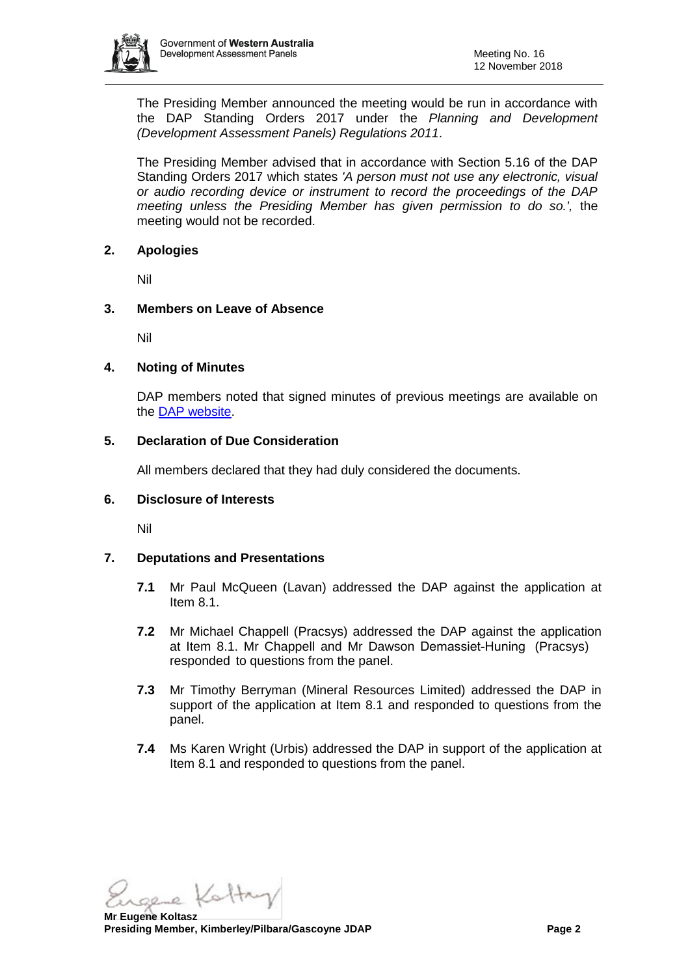

The Presiding Member announced the meeting would be run in accordance with the DAP Standing Orders 2017 under the *Planning and Development (Development Assessment Panels) Regulations 2011*.

The Presiding Member advised that in accordance with Section 5.16 of the DAP Standing Orders 2017 which states *'A person must not use any electronic, visual or audio recording device or instrument to record the proceedings of the DAP meeting unless the Presiding Member has given permission to do so.',* the meeting would not be recorded.

#### **2. Apologies**

Nil

# **3. Members on Leave of Absence**

Nil

#### **4. Noting of Minutes**

DAP members noted that signed minutes of previous meetings are available on the [DAP website.](https://www.planning.wa.gov.au/7578.aspx)

#### **5. Declaration of Due Consideration**

All members declared that they had duly considered the documents.

#### **6. Disclosure of Interests**

Nil

# **7. Deputations and Presentations**

- **7.1** Mr Paul McQueen (Lavan) addressed the DAP against the application at Item 8.1.
- **7.2** Mr Michael Chappell (Pracsys) addressed the DAP against the application at Item 8.1. Mr Chappell and Mr Dawson Demassiet-Huning (Pracsys) responded to questions from the panel.
- **7.3** Mr Timothy Berryman (Mineral Resources Limited) addressed the DAP in support of the application at Item 8.1 and responded to questions from the panel.
- **7.4** Ms Karen Wright (Urbis) addressed the DAP in support of the application at Item 8.1 and responded to questions from the panel.

sere Kattry

**Mr Eugene Koltasz Presiding Member, Kimberley/Pilbara/Gascoyne JDAP Page 2**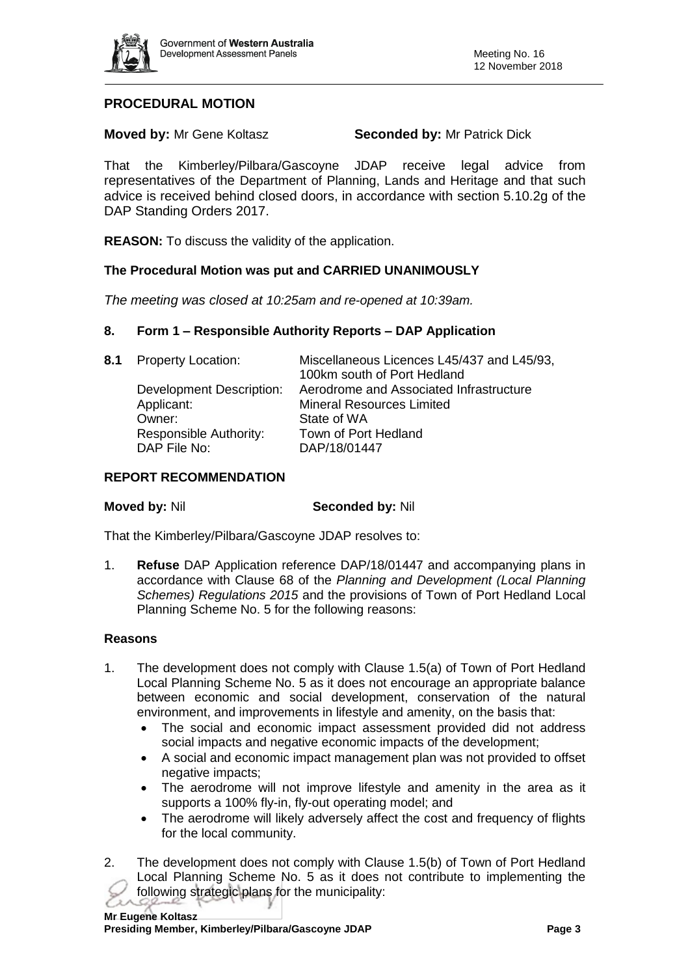

# **PROCEDURAL MOTION**

**Moved by:** Mr Gene Koltasz **Seconded by:** Mr Patrick Dick

That the Kimberley/Pilbara/Gascoyne JDAP receive legal advice from representatives of the Department of Planning, Lands and Heritage and that such advice is received behind closed doors, in accordance with section 5.10.2g of the DAP Standing Orders 2017.

**REASON:** To discuss the validity of the application.

# **The Procedural Motion was put and CARRIED UNANIMOUSLY**

*The meeting was closed at 10:25am and re-opened at 10:39am.*

#### **8. Form 1 – Responsible Authority Reports – DAP Application**

| 8.1 Property Location:   | Miscellaneous Licences L45/437 and L45/93,<br>100km south of Port Hedland |
|--------------------------|---------------------------------------------------------------------------|
| Development Description: | Aerodrome and Associated Infrastructure                                   |
| Applicant:               | <b>Mineral Resources Limited</b>                                          |
| Owner:                   | State of WA                                                               |
| Responsible Authority:   | Town of Port Hedland                                                      |
| DAP File No:             | DAP/18/01447                                                              |
|                          |                                                                           |

#### **REPORT RECOMMENDATION**

**Moved by:** Nil **Seconded by:** Nil

That the Kimberley/Pilbara/Gascoyne JDAP resolves to:

1. **Refuse** DAP Application reference DAP/18/01447 and accompanying plans in accordance with Clause 68 of the *Planning and Development (Local Planning Schemes) Regulations 2015* and the provisions of Town of Port Hedland Local Planning Scheme No. 5 for the following reasons:

#### **Reasons**

- 1. The development does not comply with Clause 1.5(a) of Town of Port Hedland Local Planning Scheme No. 5 as it does not encourage an appropriate balance between economic and social development, conservation of the natural environment, and improvements in lifestyle and amenity, on the basis that:
	- The social and economic impact assessment provided did not address social impacts and negative economic impacts of the development;
	- A social and economic impact management plan was not provided to offset negative impacts;
	- The aerodrome will not improve lifestyle and amenity in the area as it supports a 100% fly-in, fly-out operating model; and
	- The aerodrome will likely adversely affect the cost and frequency of flights for the local community.
- 2. The development does not comply with Clause 1.5(b) of Town of Port Hedland Local Planning Scheme No. 5 as it does not contribute to implementing the following strategic plans for the municipality: